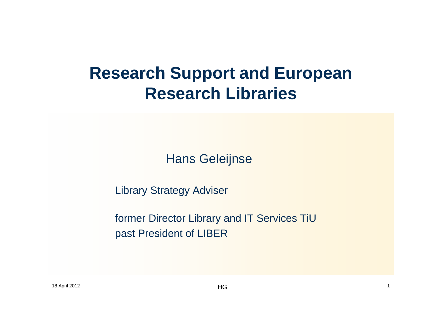#### **Research Support and European Research Libraries**

Hans Geleijnse

Library Strategy Adviser

former Director Library and IT Services TiU past President of LIBER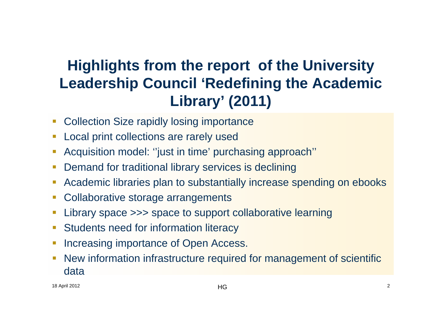#### **Highlights from the report of the University Leadership Council 'Redefining the Academic Library' (2011)**

- $\mathcal{L}_{\mathcal{A}}$ Collection Size rapidly losing importance
- $\mathcal{L}_{\mathcal{A}}$ Local print collections are rarely used
- Acquisition model: ''just in time' purchasing approach''
- $\overline{\phantom{a}}$ Demand for traditional library services is declining
- $\mathcal{L}_{\mathcal{A}}$ Academic libraries plan to substantially increase spending on ebooks
- $\Box$ Collaborative storage arrangements
- $\mathcal{L}_{\mathcal{A}}$ Library space >>> space to support collaborative learning
- $\overline{\phantom{a}}$ Students need for information literacy
- $\left\vert \cdot \right\vert$ Increasing importance of Open Access.
- **Service Service**  New information infrastructure required for management of scientific data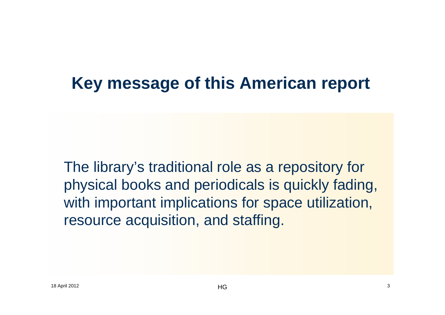#### **Key message of this American report**

The library's traditional role as a repository for physical books and periodicals is quickly fading, with important implications for space utilization, resource acquisition, and staffing.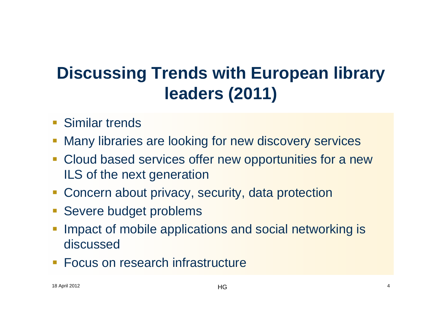## **Discussing Trends with European library leaders (2011)**

- **Similar trends**
- Many libraries are looking for new discovery services
- **Cloud based services offer new opportunities for a new** ILS of the next generation
- **Concern about privacy, security, data protection**
- Severe budget problems
- Impact of mobile applications and social networking is discussed
- **Focus on research infrastructure**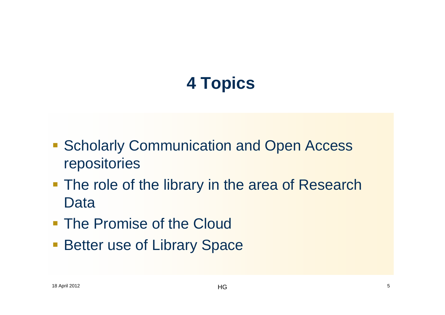# **4 Topics**

- **Scholarly Communication and Open Access** repositories
- **The role of the library in the area of Research Data**
- **The Promise of the Cloud**
- **Better use of Library Space**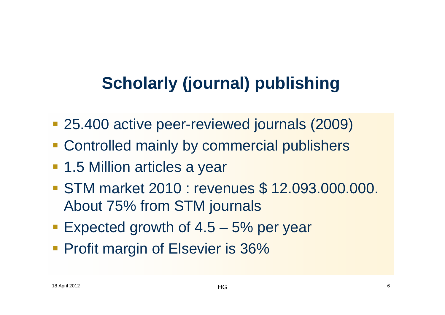# **Scholarly (journal) publishing**

- 25.400 active peer-reviewed journals (2009)
- **Controlled mainly by commercial publishers**
- 1.5 Million articles a year
- **STM market 2010 : revenues \$ 12.093.000.000.** About 75% from STM journals
- **Expected growth of 4.5 5% per year**
- **Profit margin of Elsevier is 36%**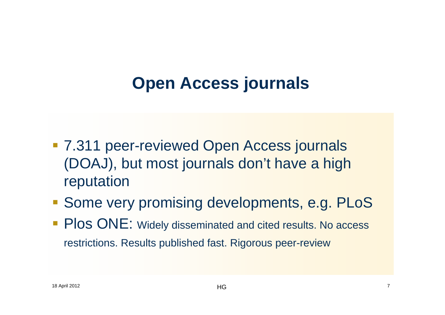#### **Open Access journals**

- **7.311 peer-reviewed Open Access journals** (DOAJ), but most journals don't have a high reputation
- **Some very promising developments, e.g. PLoS**
- **Plos ONE:** Widely disseminated and cited results. No access restrictions. Results published fast. Rigorous peer-review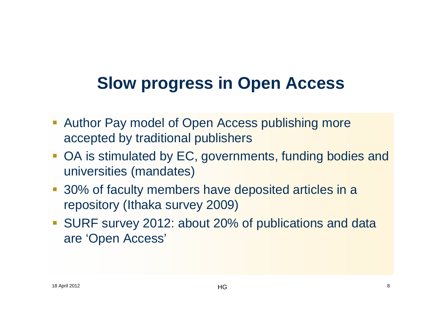## **Slow progress in Open Access**

- **Author Pay model of Open Access publishing more** accepted by traditional publishers
- OA is stimulated by EC, governments, funding bodies and universities (mandates)
- **30% of faculty members have deposited articles in a** repository (Ithaka survey 2009)
- **SURF survey 2012: about 20% of publications and data** are 'Open Access'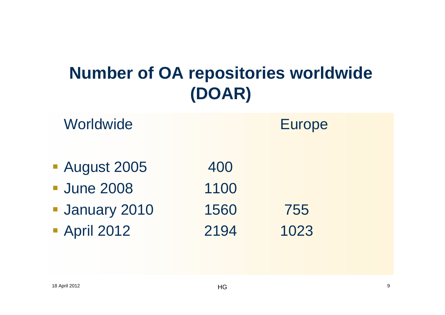### **Number of OA repositories worldwide (DOAR)**

Europe

| <b>- August 2005</b> | 400  |      |
|----------------------|------|------|
| <b>June 2008</b>     | 1100 |      |
| <b>January 2010</b>  | 1560 | 755  |
| <b>- April 2012</b>  | 2194 | 1023 |

**Worldwide**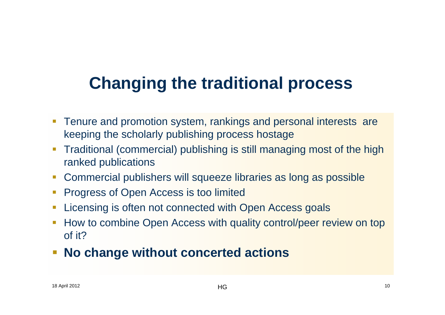## **Changing the traditional process**

- Tenure and promotion system, rankings and personal interests are keeping the scholarly publishing process hostage
- Traditional (commercial) publishing is still managing most of the high ranked publications
- $\mathbb{R}^n$ Commercial publishers will squeeze libraries as long as possible
- $\mathcal{L}_{\mathcal{A}}$ Progress of Open Access is too limited
- Licensing is often not connected with Open Access goals
- How to combine Open Access with quality control/peer review on top of it?
- **No change without concerted actions**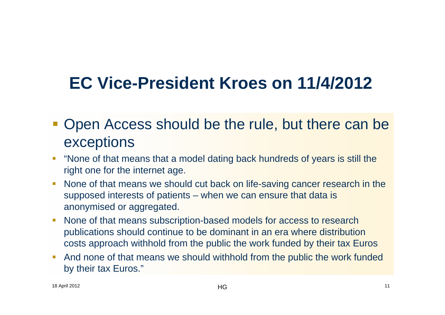## **EC Vice-President Kroes on 11/4/2012**

- Open Access should be the rule, but there can be exceptions
- $\mathcal{C}_{\mathcal{A}}$  "None of that means that a model dating back hundreds of years is still the right one for the internet age.
- **The State**  None of that means we should cut back on life-saving cancer research in the supposed interests of patients – when we can ensure that data is anonymised or aggregated.
- $\mathcal{L}_{\mathcal{A}}$  None of that means subscription-based models for access to research publications should continue to be dominant in an era where distribution costs approach withhold from the public the work funded by their tax Euros
- And none of that means we should withhold from the public the work funded by their tax Euros."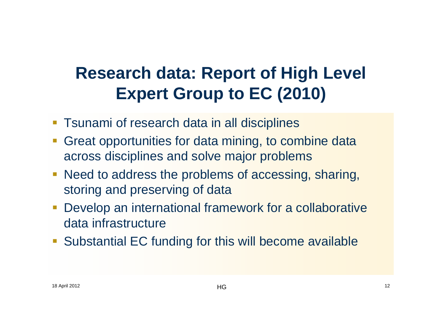#### **Research data: Report of High Level Expert Group to EC (2010)**

- **Times** Tsunami of research data in all disciplines
- Great opportunities for data mining, to combine data across disciplines and solve major problems
- Need to address the problems of accessing, sharing, storing and preserving of data
- Develop an international framework for a collaborative data infrastructure
- **Substantial EC funding for this will become available**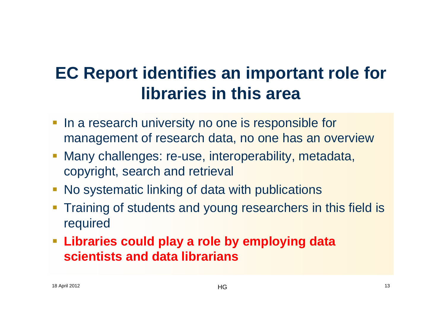#### **EC Report identifies an important role for libraries in this area**

- **IF In a research university no one is responsible for** management of research data, no one has an overview
- **Many challenges: re-use, interoperability, metadata,** copyright, search and retrieval
- No systematic linking of data with publications
- **Training of students and young researchers in this field is** required
- **Libraries could play a role by employing data scientists and data librarians**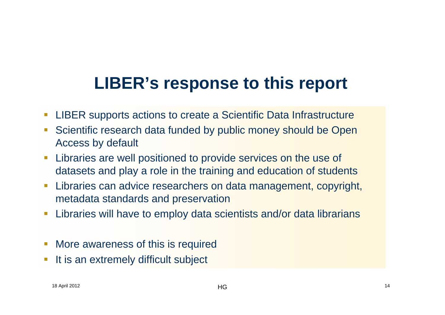#### **LIBER's response to this report**

- $\mathbb{R}^n$ LIBER supports actions to create a Scientific Data Infrastructure
- $\Box$  Scientific research data funded by public money should be Open Access by default
- $\overline{\phantom{0}}$  Libraries are well positioned to provide services on the use of datasets and play a role in the training and education of students
- $\Box$  Libraries can advice researchers on data management, copyright, metadata standards and preservation
- $\mathcal{C}^{\mathcal{A}}$ Libraries will have to employ data scientists and/or data librarians
- $\overline{\phantom{a}}$ More awareness of this is required
- $\mathbb{R}^n$ It is an extremely difficult subject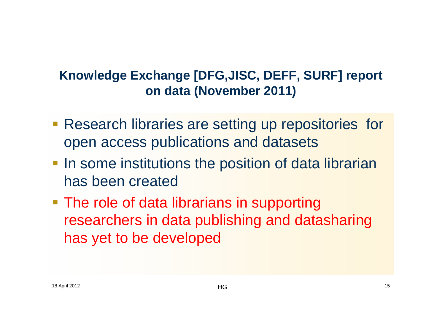#### **Knowledge Exchange [DFG,JISC, DEFF, SURF] report on data (November 2011)**

- **Research libraries are setting up repositories for** open access publications and datasets
- **In some institutions the position of data librarian** has been created
- **The role of data librarians in supporting** researchers in data publishing and datasharing has yet to be developed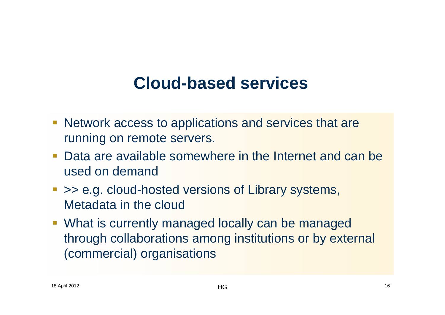#### **Cloud-based services**

- **Network access to applications and services that are** running on remote servers.
- Data are available somewhere in the Internet and can be used on demand
- **>> e.g. cloud-hosted versions of Library systems,** Metadata in the cloud
- **What is currently managed locally can be managed** through collaborations among institutions or by external (commercial) organisations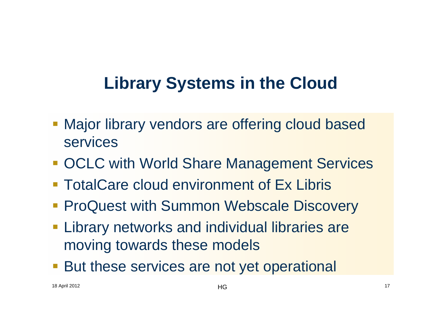# **Library Systems in the Cloud**

- Major library vendors are offering cloud based services
- **OCLC with World Share Management Services**
- **TotalCare cloud environment of Ex Libris**
- **ProQuest with Summon Webscale Discovery**
- Library networks and individual libraries are moving towards these models
- But these services are not yet operational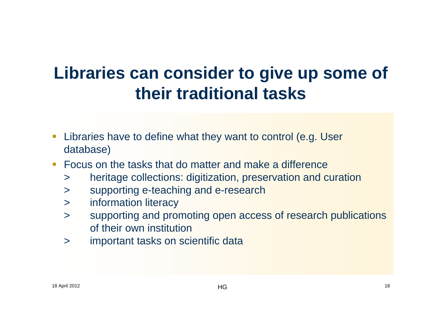#### **Libraries can consider to give up some of their traditional tasks**

- Libraries have to define what they want to control (e.g. User database)
- Focus on the tasks that do matter and make a difference
	- >heritage collections: digitization, preservation and curation
	- >supporting e-teaching and e-research
	- $\geq$ information literacy
	- $\geq$  supporting and promoting open access of research publications of their own institution
	- $\geq$ important tasks on scientific data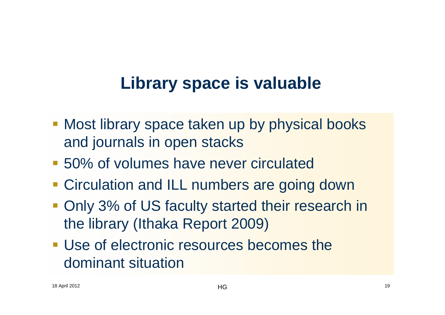## **Library space is valuable**

- **Most library space taken up by physical books** and journals in open stacks
- 50% of volumes have never circulated
- **Circulation and ILL numbers are going down**
- **Only 3% of US faculty started their research in** the library (Ithaka Report 2009)
- Use of electronic resources becomes the dominant situation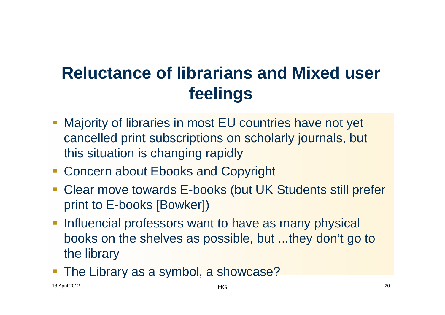#### **Reluctance of librarians and Mixed user feelings**

- **Majority of libraries in most EU countries have not yet** cancelled print subscriptions on scholarly journals, but this situation is changing rapidly
- **Concern about Ebooks and Copyright**
- Clear move towards E-books (but UK Students still prefer print to E-books [Bowker])
- Influencial professors want to have as many physical books on the shelves as possible, but ...they don't go to the library
- The Library as a symbol, a showcase?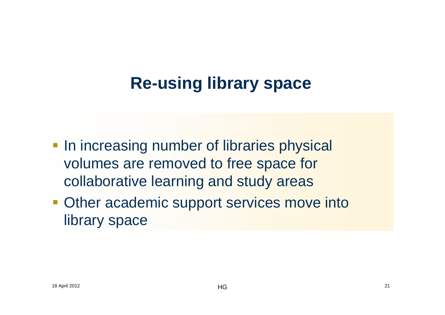## **Re-using library space**

- **In increasing number of libraries physical** volumes are removed to free space for collaborative learning and study areas
- **Other academic support services move into** library space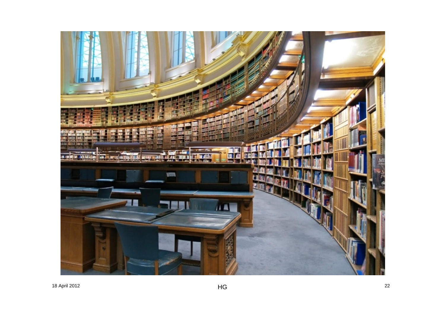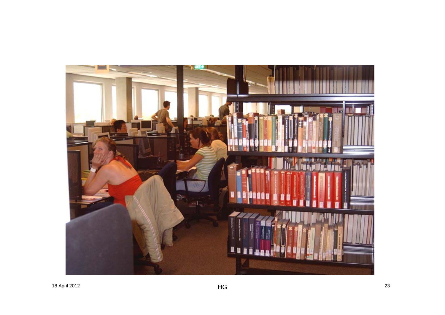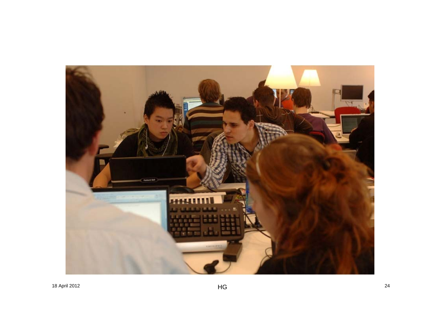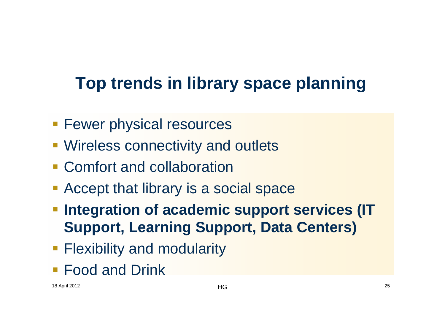# **Top trends in library space planning**

- **Fewer physical resources**
- **Wireless connectivity and outlets**
- **EXCOMENT COMPACTE COMPOSEDING THE COMPACTE COMPACTE COMPACTE COMPACTE COMPACTE**
- **Accept that library is a social space**
- **Integration of academic support services (IT Support, Learning Support, Data Centers)**
- **Flexibility and modularity**
- Food and Drink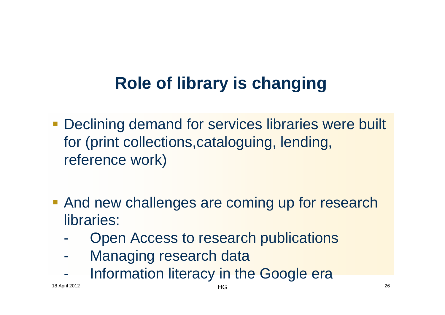# **Role of library is changing**

- **Declining demand for services libraries were built** for (print collections,cataloguing, lending, reference work)
- **And new challenges are coming up for research** libraries:
	- Open Access to research publications
	- -Managing research data
	- -Information literacy in the Google era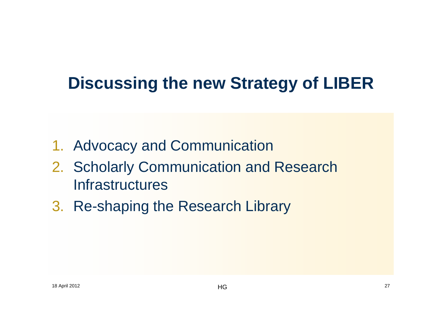## **Discussing the new Strategy of LIBER**

- 1. Advocacy and Communication
- 2. Scholarly Communication and Research Infrastructures
- 3. Re-shaping the Research Library